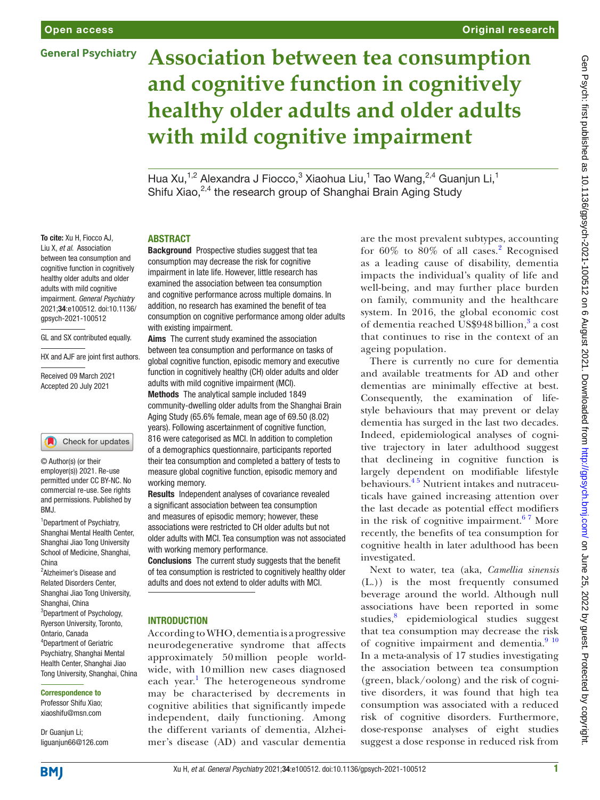To cite: Xu H, Fiocco AJ, Liu X, *et al*. Association between tea consumption and cognitive function in cognitively healthy older adults and older adults with mild cognitive impairment. *General Psychiatry* 2021;34:e100512. doi:10.1136/ gpsych-2021-100512

GL and SX contributed equally. HX and AJF are joint first authors.

Received 09 March 2021 Accepted 20 July 2021

<sup>1</sup> Department of Psychiatry, Shanghai Mental Health Center, Shanghai Jiao Tong University School of Medicine, Shanghai,

© Author(s) (or their employer(s)) 2021. Re-use permitted under CC BY-NC. No commercial re-use. See rights and permissions. Published by

Check for updates

<sup>2</sup> Alzheimer's Disease and Related Disorders Center, Shanghai Jiao Tong University,

<sup>3</sup>Department of Psychology, Ryerson University, Toronto, Ontario, Canada 4 Department of Geriatric Psychiatry, Shanghai Mental Health Center, Shanghai Jiao Tong University, Shanghai, China

Shanghai, China

Correspondence to Professor Shifu Xiao; xiaoshifu@msn.com

China

BMJ.

**General Psychiatry** 

# **Association between tea consumption and cognitive function in cognitively healthy older adults and older adults with mild cognitive impairment**

Hua Xu,<sup>1,2</sup> Alexandra J Fiocco,<sup>3</sup> Xiaohua Liu,<sup>1</sup> Tao Wang,<sup>2,4</sup> Guanjun Li,<sup>1</sup> Shifu Xiao, <sup>2,4</sup> the research group of Shanghai Brain Aging Study

#### ABSTRACT

Background Prospective studies suggest that tea consumption may decrease the risk for cognitive impairment in late life. However, little research has examined the association between tea consumption and cognitive performance across multiple domains. In addition, no research has examined the benefit of tea consumption on cognitive performance among older adults with existing impairment.

Aims The current study examined the association between tea consumption and performance on tasks of global cognitive function, episodic memory and executive function in cognitively healthy (CH) older adults and older adults with mild cognitive impairment (MCI).

Methods The analytical sample included 1849 community-dwelling older adults from the Shanghai Brain Aging Study (65.6% female, mean age of 69.50 (8.02) years). Following ascertainment of cognitive function, 816 were categorised as MCI. In addition to completion of a demographics questionnaire, participants reported their tea consumption and completed a battery of tests to measure global cognitive function, episodic memory and working memory.

Results Independent analyses of covariance revealed a significant association between tea consumption and measures of episodic memory; however, these associations were restricted to CH older adults but not older adults with MCI. Tea consumption was not associated with working memory performance.

Conclusions The current study suggests that the benefit of tea consumption is restricted to cognitively healthy older adults and does not extend to older adults with MCI.

#### INTRODUCTION

According to WHO, dementia is a progressive neurodegenerative syndrome that affects approximately 50 million people worldwide, with 10 million new cases diagnosed each year.<sup>[1](#page-6-0)</sup> The heterogeneous syndrome may be characterised by decrements in cognitive abilities that significantly impede independent, daily functioning. Among the different variants of dementia, Alzheimer's disease (AD) and vascular dementia

are the most prevalent subtypes, accounting for  $60\%$  to  $80\%$  of all cases.<sup>[2](#page-6-1)</sup> Recognised as a leading cause of disability, dementia impacts the individual's quality of life and well-being, and may further place burden on family, community and the healthcare system. In 2016, the global economic cost of dementia reached US\$948 billion,<sup>[3](#page-6-2)</sup> a cost that continues to rise in the context of an ageing population.

There is currently no cure for dementia and available treatments for AD and other dementias are minimally effective at best. Consequently, the examination of lifestyle behaviours that may prevent or delay dementia has surged in the last two decades. Indeed, epidemiological analyses of cognitive trajectory in later adulthood suggest that declineing in cognitive function is largely dependent on modifiable lifestyle behaviours.<sup>45</sup> Nutrient intakes and nutraceuticals have gained increasing attention over the last decade as potential effect modifiers in the risk of cognitive impairment. $67$  More recently, the benefits of tea consumption for cognitive health in later adulthood has been investigated.

Next to water, tea (aka, *Camellia sinensis* (L.)) is the most frequently consumed beverage around the world. Although null associations have been reported in some studies,<sup>[8](#page-6-5)</sup> epidemiological studies suggest that tea consumption may decrease the risk of cognitive impairment and dementia.<sup>9</sup> <sup>10</sup> In a meta-analysis of 17 studies investigating the association between tea consumption (green, black/oolong) and the risk of cognitive disorders, it was found that high tea consumption was associated with a reduced risk of cognitive disorders. Furthermore, dose-response analyses of eight studies suggest a dose response in reduced risk from

**BMI** 

Dr Guanjun Li; liguanjun66@126.com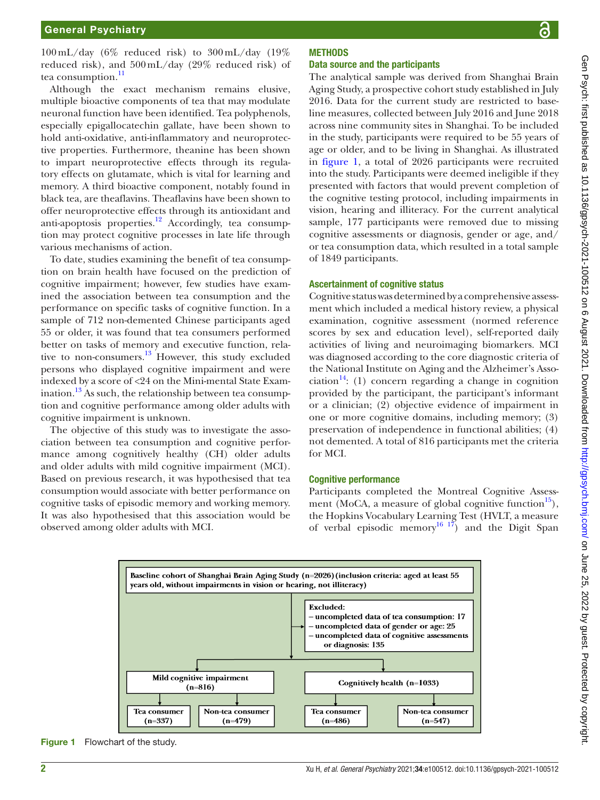$100 \text{ mL/day}$  (6% reduced risk) to  $300 \text{ mL/day}$  (19%) reduced risk), and 500mL/day (29% reduced risk) of tea consumption. $\frac{11}{11}$  $\frac{11}{11}$  $\frac{11}{11}$ 

Although the exact mechanism remains elusive, multiple bioactive components of tea that may modulate neuronal function have been identified. Tea polyphenols, especially epigallocatechin gallate, have been shown to hold anti-oxidative, anti-inflammatory and neuroprotective properties. Furthermore, theanine has been shown to impart neuroprotective effects through its regulatory effects on glutamate, which is vital for learning and memory. A third bioactive component, notably found in black tea, are theaflavins. Theaflavins have been shown to offer neuroprotective effects through its antioxidant and anti-apoptosis properties.[12](#page-6-8) Accordingly, tea consumption may protect cognitive processes in late life through various mechanisms of action.

To date, studies examining the benefit of tea consumption on brain health have focused on the prediction of cognitive impairment; however, few studies have examined the association between tea consumption and the performance on specific tasks of cognitive function. In a sample of 712 non-demented Chinese participants aged 55 or older, it was found that tea consumers performed better on tasks of memory and executive function, relative to non-consumers.<sup>13</sup> However, this study excluded persons who displayed cognitive impairment and were indexed by a score of <24 on the Mini-mental State Exam-ination.<sup>[13](#page-6-9)</sup> As such, the relationship between tea consumption and cognitive performance among older adults with cognitive impairment is unknown.

The objective of this study was to investigate the association between tea consumption and cognitive performance among cognitively healthy (CH) older adults and older adults with mild cognitive impairment (MCI). Based on previous research, it was hypothesised that tea consumption would associate with better performance on cognitive tasks of episodic memory and working memory. It was also hypothesised that this association would be observed among older adults with MCI.

## **METHODS**

#### Data source and the participants

The analytical sample was derived from Shanghai Brain Aging Study, a prospective cohort study established in July 2016. Data for the current study are restricted to baseline measures, collected between July 2016 and June 2018 across nine community sites in Shanghai. To be included in the study, participants were required to be 55 years of age or older, and to be living in Shanghai. As illustrated in [figure](#page-1-0) 1, a total of 2026 participants were recruited into the study. Participants were deemed ineligible if they presented with factors that would prevent completion of the cognitive testing protocol, including impairments in vision, hearing and illiteracy. For the current analytical sample, 177 participants were removed due to missing cognitive assessments or diagnosis, gender or age, and/ or tea consumption data, which resulted in a total sample of 1849 participants.

#### Ascertainment of cognitive status

Cognitive status was determined by a comprehensive assessment which included a medical history review, a physical examination, cognitive assessment (normed reference scores by sex and education level), self-reported daily activities of living and neuroimaging biomarkers. MCI was diagnosed according to the core diagnostic criteria of the National Institute on Aging and the Alzheimer's Association<sup>14</sup>: (1) concern regarding a change in cognition provided by the participant, the participant's informant or a clinician; (2) objective evidence of impairment in one or more cognitive domains, including memory; (3) preservation of independence in functional abilities; (4) not demented. A total of 816 participants met the criteria for MCI.

#### Cognitive performance

Participants completed the Montreal Cognitive Assessment (MoCA, a measure of global cognitive function<sup>15</sup>), the Hopkins Vocabulary Learning Test (HVLT, a measure of verbal episodic memory<sup>[16 17](#page-6-12)</sup>) and the Digit Span



<span id="page-1-0"></span>Figure 1 Flowchart of the study.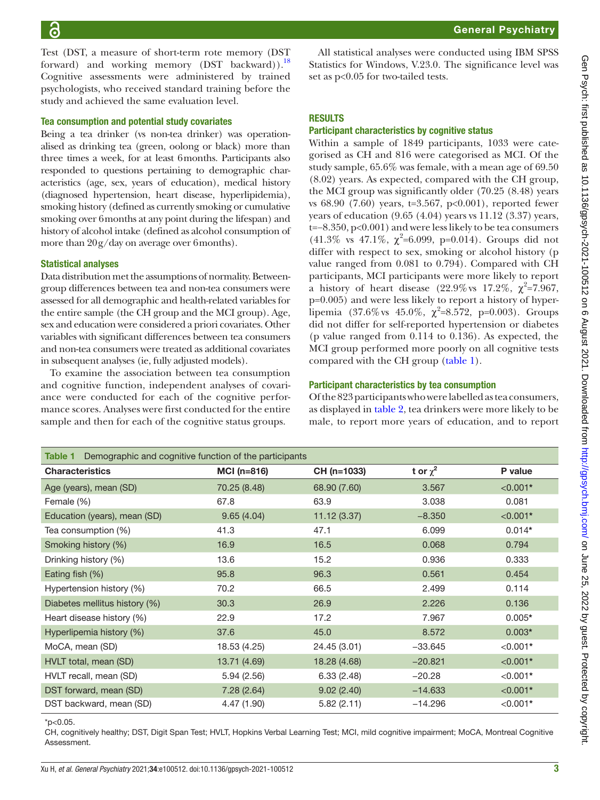Test (DST, a measure of short-term rote memory (DST forward) and working memory (DST backward)).<sup>18</sup> Cognitive assessments were administered by trained psychologists, who received standard training before the study and achieved the same evaluation level.

#### Tea consumption and potential study covariates

Being a tea drinker (vs non-tea drinker) was operationalised as drinking tea (green, oolong or black) more than three times a week, for at least 6months. Participants also responded to questions pertaining to demographic characteristics (age, sex, years of education), medical history (diagnosed hypertension, heart disease, hyperlipidemia), smoking history (defined as currently smoking or cumulative smoking over 6months at any point during the lifespan) and history of alcohol intake (defined as alcohol consumption of more than 20g/day on average over 6months).

#### Statistical analyses

Data distribution met the assumptions of normality. Betweengroup differences between tea and non-tea consumers were assessed for all demographic and health-related variables for the entire sample (the CH group and the MCI group). Age, sex and education were considered a priori covariates. Other variables with significant differences between tea consumers and non-tea consumers were treated as additional covariates in subsequent analyses (ie, fully adjusted models).

To examine the association between tea consumption and cognitive function, independent analyses of covariance were conducted for each of the cognitive performance scores. Analyses were first conducted for the entire sample and then for each of the cognitive status groups.

All statistical analyses were conducted using IBM SPSS Statistics for Windows, V.23.0. The significance level was set as p<0.05 for two-tailed tests.

### **RESULTS**

#### Participant characteristics by cognitive status

Within a sample of 1849 participants, 1033 were categorised as CH and 816 were categorised as MCI. Of the study sample, 65.6% was female, with a mean age of 69.50 (8.02) years. As expected, compared with the CH group, the MCI group was significantly older (70.25 (8.48) years vs 68.90 (7.60) years, t=3.567, p<0.001), reported fewer years of education (9.65 (4.04) years vs 11.12 (3.37) years, t=−8.350, p<0.001) and were less likely to be tea consumers (41.3% vs 47.1%,  $\chi^2$ =6.099, p=0.014). Groups did not differ with respect to sex, smoking or alcohol history (p value ranged from 0.081 to 0.794). Compared with CH participants, MCI participants were more likely to report a history of heart disease (22.9% vs 17.2%,  $\chi^2$ =7.967, p=0.005) and were less likely to report a history of hyperlipemia (37.6% vs 45.0%,  $\chi^2 = 8.572$ , p=0.003). Groups did not differ for self-reported hypertension or diabetes (p value ranged from 0.114 to 0.136). As expected, the MCI group performed more poorly on all cognitive tests compared with the CH group [\(table](#page-2-0) 1).

#### Participant characteristics by tea consumption

Of the 823 participants who were labelled as tea consumers, as displayed in [table](#page-3-0) 2, tea drinkers were more likely to be male, to report more years of education, and to report

<span id="page-2-0"></span>

| Demographic and cognitive function of the participants<br>Table 1 |              |              |               |            |  |  |  |
|-------------------------------------------------------------------|--------------|--------------|---------------|------------|--|--|--|
| <b>Characteristics</b>                                            | $MCI(n=816)$ | CH (n=1033)  | t or $\chi^2$ | P value    |  |  |  |
| Age (years), mean (SD)                                            | 70.25 (8.48) | 68.90 (7.60) | 3.567         | $< 0.001*$ |  |  |  |
| Female (%)                                                        | 67.8         | 63.9         | 3.038         | 0.081      |  |  |  |
| Education (years), mean (SD)                                      | 9.65(4.04)   | 11.12(3.37)  | $-8.350$      | $< 0.001*$ |  |  |  |
| Tea consumption (%)                                               | 41.3         | 47.1         | 6.099         | $0.014*$   |  |  |  |
| Smoking history (%)                                               | 16.9         | 16.5         | 0.068         | 0.794      |  |  |  |
| Drinking history (%)                                              | 13.6         | 15.2         | 0.936         | 0.333      |  |  |  |
| Eating fish (%)                                                   | 95.8         | 96.3         | 0.561         | 0.454      |  |  |  |
| Hypertension history (%)                                          | 70.2         | 66.5         | 2.499         | 0.114      |  |  |  |
| Diabetes mellitus history (%)                                     | 30.3         | 26.9         | 2.226         | 0.136      |  |  |  |
| Heart disease history (%)                                         | 22.9         | 17.2         | 7.967         | $0.005*$   |  |  |  |
| Hyperlipemia history (%)                                          | 37.6         | 45.0         | 8.572         | $0.003*$   |  |  |  |
| MoCA, mean (SD)                                                   | 18.53 (4.25) | 24.45 (3.01) | $-33.645$     | $< 0.001*$ |  |  |  |
| HVLT total, mean (SD)                                             | 13.71 (4.69) | 18.28 (4.68) | $-20.821$     | $< 0.001*$ |  |  |  |
| HVLT recall, mean (SD)                                            | 5.94(2.56)   | 6.33(2.48)   | $-20.28$      | $< 0.001*$ |  |  |  |
| DST forward, mean (SD)                                            | 7.28(2.64)   | 9.02(2.40)   | $-14.633$     | $< 0.001*$ |  |  |  |
| DST backward, mean (SD)                                           | 4.47 (1.90)  | 5.82(2.11)   | $-14.296$     | $< 0.001*$ |  |  |  |

#### $*$ p<0.05.

CH, cognitively healthy; DST, Digit Span Test; HVLT, Hopkins Verbal Learning Test; MCI, mild cognitive impairment; MoCA, Montreal Cognitive **Assessment**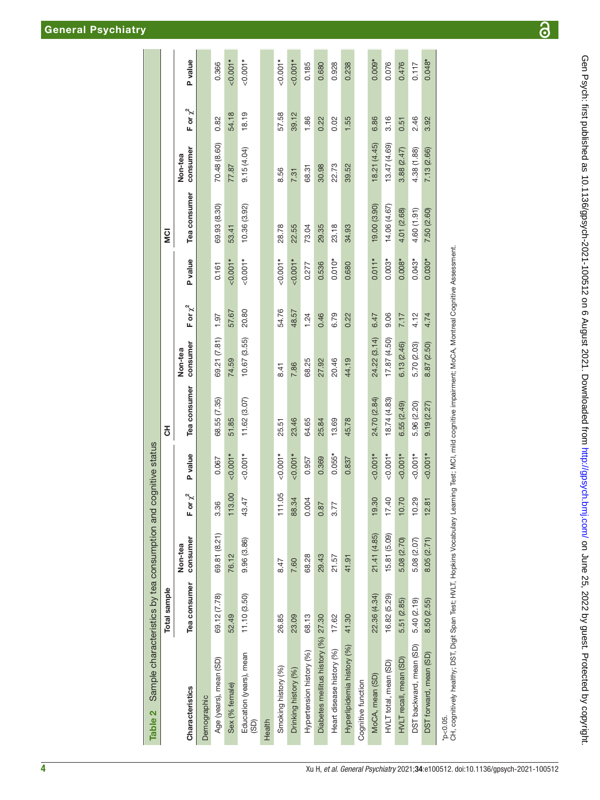|                                                                                       | Total sample |                     |              |                | 공            |                     |               |           | <b>SI</b>    |                     |               |           |
|---------------------------------------------------------------------------------------|--------------|---------------------|--------------|----------------|--------------|---------------------|---------------|-----------|--------------|---------------------|---------------|-----------|
| <b>Characteristics</b>                                                                | Tea consumer | consumer<br>Non-tea | For $\chi^2$ | <b>P</b> value | Tea consumer | consumer<br>Non-tea | F or $\chi^2$ | P value   | Tea consumer | consumer<br>Non-tea | F or $\chi^2$ | P value   |
| Demographic                                                                           |              |                     |              |                |              |                     |               |           |              |                     |               |           |
| Age (years), mean (SD)                                                                | 69.12 (7.78) | 69.81 (8.21)        | 3.36         | 0.067          | 68.55 (7.35) | 69.21 (7.81)        | 1.97          | 0.161     | 69.93 (8.30) | 70.48 (8.60)        | 0.82          | 0.366     |
| Sex (% female)                                                                        | 52.49        | 76.12               | 113.00       | $-0.001*$      | 51.85        | 74.59               | 57.67         | $0.001*$  | 53.41        | 77.87               | 54.18         | $-0.001*$ |
| Education (years), mean<br>(GD)                                                       | 11.10(3.50)  | 9.96 (3.86)         | 43.47        | $< 0.001*$     | 11.62 (3.07) | 10.67 (3.55)        | 20.80         | $&0.001*$ | 10.36 (3.92) | 9.15(4.04)          | 18.19         | $&0.001*$ |
| Health                                                                                |              |                     |              |                |              |                     |               |           |              |                     |               |           |
| Smoking history (%)                                                                   | 26.85        | 8.47                | 111.05       | $-0.001*$      | 25.51        | 8.41                | 54.76         | $0.001*$  | 28.78        | 8.56                | 57.58         | $-0.001*$ |
| Drinking history (%)                                                                  | 23.09        | 7.60                | 88.34        | $-0.001*$      | 23.46        | 7.86                | 48.57         | $0.001*$  | 22.55        | 7.31                | 39.12         | $0.001*$  |
| Hypertension history (%)                                                              | 68.13        | 68.28               | 0.004        | 0.957          | 64.65        | 68.25               | 1.24          | 0.277     | 73.04        | 68.31               | 1.86          | 0.185     |
| Diabetes mellitus history (%) 27.30                                                   |              | 29.43               | 0.87         | 0.369          | 25.84        | 27.92               | 0.46          | 0.536     | 29.35        | 30.98               | 0.22          | 0.680     |
| Heart disease history (%)                                                             | 17.62        | 21.57               | 3.77         | $0.055*$       | 13.69        | 20.46               | 6.79          | $0.010*$  | 23.18        | 22.73               | 0.02          | 0.928     |
| Hyperlipidemia history (%)                                                            | 41.30        | 41.91               |              | 0.837          | 45.78        | 44.19               | 0.22          | 0.680     | 34.93        | 39.52               | 1.55          | 0.238     |
| Cognitive function                                                                    |              |                     |              |                |              |                     |               |           |              |                     |               |           |
| MoCA, mean (SD)                                                                       | 22.36 (4.34) | 21.41 (4.85)        | 19.30        | $< 0.001*$     | 24.70 (2.84) | 24.22 (3.14)        | 6.47          | $0.011*$  | 19.00 (3.90) | 18.21 (4.45)        | 6.86          | $0.009*$  |
| HVLT total, mean (SD)                                                                 | 16.82 (5.29) | 15.81 (5.09)        | 17.40        | $10001*$       | 18.74 (4.83) | 17.87 (4.50)        | 9.06          | $0.003*$  | 14.06 (4.67) | 13.47 (4.69)        | 3.16          | 0.076     |
| HVLT recall, mean (SD)                                                                | 5.51 (2.85)  | 5.08 (2.70)         | 10.70        | $<0.001*$      | 6.55(2.49)   | 6.13(2.46)          | 7.17          | $0.008*$  | 4.01 (2.68)  | 3.88(2.47)          | 0.51          | 0.476     |
| DST backward, mean (SD)                                                               | 5.40 (2.19)  | 5.08 (2.07)         | 10.29        | $0.001*$       | 5.96 (2.20)  | 5.70 (2.03)         | 4.12          | $0.043*$  | 4.60 (1.91)  | 4.38 (1.88)         | 2.46          | 0.117     |
| DST forward, mean (SD)                                                                | 8.50 (2.55)  | 8.05(2.71)          | 12.81        | $-0.001*$      | 9.19(2.27)   | 8.87 (2.50)         | 4.74          | $0.030*$  | 7.50 (2.60)  | 7.13 (2.66)         | 3.92          | $0.048*$  |
| *D<0.05.<br>CHI qoralilinch bookku: DCT Disit Coop Tott LN/T Llockies Voodbulger Lock |              |                     |              |                |              |                     |               |           |              |                     |               |           |

<span id="page-3-0"></span>CH, cognitively healthy; DST, Digit Span Test; HVLT, Hopkins Vocabulary Learning Test; MCI, mild cognitive impairment; MoCA, Montreal Cognitive Assessment. ğ noc<br>c 3 HVLI. —<br>⊕ bar niĝir  $\frac{1}{2}$ ieaitny;  $\frac{1}{2}$ É CH, coar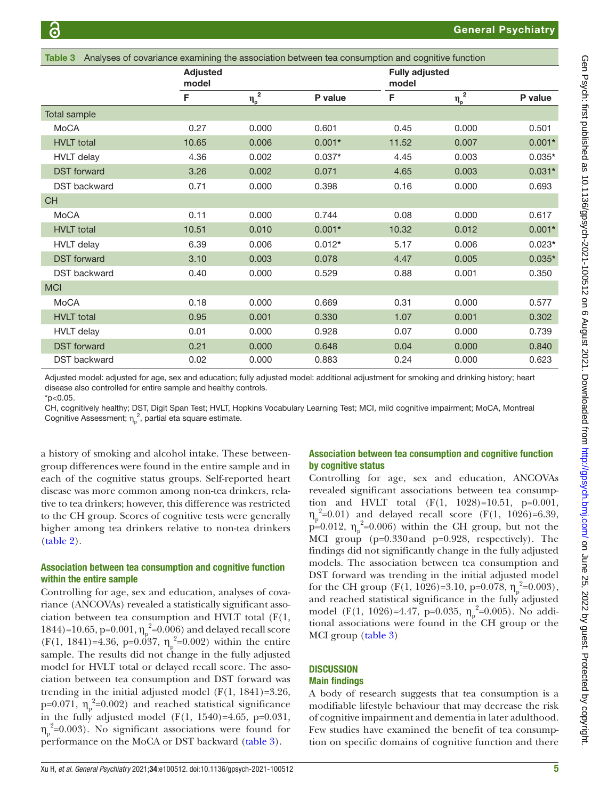<span id="page-4-0"></span>

| Table 3             | Analyses of covariance examining the association between tea consumption and cognitive function |                                     |          |                                |                             |          |
|---------------------|-------------------------------------------------------------------------------------------------|-------------------------------------|----------|--------------------------------|-----------------------------|----------|
|                     | <b>Adjusted</b><br>model                                                                        |                                     |          | <b>Fully adjusted</b><br>model |                             |          |
|                     | F                                                                                               | $\overline{\mathbf{2}}$<br>$\eta_p$ | P value  | F                              | $\overline{\eta_{\rm p}}^2$ | P value  |
| <b>Total sample</b> |                                                                                                 |                                     |          |                                |                             |          |
| MoCA                | 0.27                                                                                            | 0.000                               | 0.601    | 0.45                           | 0.000                       | 0.501    |
| <b>HVLT</b> total   | 10.65                                                                                           | 0.006                               | $0.001*$ | 11.52                          | 0.007                       | $0.001*$ |
| <b>HVLT</b> delay   | 4.36                                                                                            | 0.002                               | $0.037*$ | 4.45                           | 0.003                       | $0.035*$ |
| <b>DST</b> forward  | 3.26                                                                                            | 0.002                               | 0.071    | 4.65                           | 0.003                       | $0.031*$ |
| <b>DST</b> backward | 0.71                                                                                            | 0.000                               | 0.398    | 0.16                           | 0.000                       | 0.693    |
| <b>CH</b>           |                                                                                                 |                                     |          |                                |                             |          |
| MoCA                | 0.11                                                                                            | 0.000                               | 0.744    | 0.08                           | 0.000                       | 0.617    |
| <b>HVLT</b> total   | 10.51                                                                                           | 0.010                               | $0.001*$ | 10.32                          | 0.012                       | $0.001*$ |
| <b>HVLT</b> delay   | 6.39                                                                                            | 0.006                               | $0.012*$ | 5.17                           | 0.006                       | $0.023*$ |
| <b>DST</b> forward  | 3.10                                                                                            | 0.003                               | 0.078    | 4.47                           | 0.005                       | $0.035*$ |
| <b>DST</b> backward | 0.40                                                                                            | 0.000                               | 0.529    | 0.88                           | 0.001                       | 0.350    |
| <b>MCI</b>          |                                                                                                 |                                     |          |                                |                             |          |
| MoCA                | 0.18                                                                                            | 0.000                               | 0.669    | 0.31                           | 0.000                       | 0.577    |
| <b>HVLT</b> total   | 0.95                                                                                            | 0.001                               | 0.330    | 1.07                           | 0.001                       | 0.302    |
| <b>HVLT</b> delay   | 0.01                                                                                            | 0.000                               | 0.928    | 0.07                           | 0.000                       | 0.739    |
| <b>DST</b> forward  | 0.21                                                                                            | 0.000                               | 0.648    | 0.04                           | 0.000                       | 0.840    |
| <b>DST</b> backward | 0.02                                                                                            | 0.000                               | 0.883    | 0.24                           | 0.000                       | 0.623    |

Adjusted model: adjusted for age, sex and education; fully adjusted model: additional adjustment for smoking and drinking history; heart disease also controlled for entire sample and healthy controls.

 $*n < 0.05$ .

CH, cognitively healthy; DST, Digit Span Test; HVLT, Hopkins Vocabulary Learning Test; MCI, mild cognitive impairment; MoCA, Montreal Cognitive Assessment;  $\eta_{\text{p}}^2$ , partial eta square estimate.

a history of smoking and alcohol intake. These betweengroup differences were found in the entire sample and in each of the cognitive status groups. Self-reported heart disease was more common among non-tea drinkers, relative to tea drinkers; however, this difference was restricted to the CH group. Scores of cognitive tests were generally higher among tea drinkers relative to non-tea drinkers ([table](#page-3-0) 2).

## Association between tea consumption and cognitive function within the entire sample

Controlling for age, sex and education, analyses of covariance (ANCOVAs) revealed a statistically significant association between tea consumption and HVLT total (F(1, 1844)=10.65, p=0.001,  $\eta_p^2$ =0.006) and delayed recall score  $(F(1, 1841)=4.36, p=0.037, \eta_p^2=0.002)$  within the entire sample. The results did not change in the fully adjusted model for HVLT total or delayed recall score. The association between tea consumption and DST forward was trending in the initial adjusted model  $(F(1, 1841)=3.26$ , p=0.071,  $\eta_p^2$ =0.002) and reached statistical significance in the fully adjusted model (F(1, 1540)=4.65, p=0.031,  $\eta_p^2$ =0.003). No significant associations were found for performance on the MoCA or DST backward ([table](#page-4-0) 3).

## Association between tea consumption and cognitive function by cognitive status

Controlling for age, sex and education, ANCOVAs revealed significant associations between tea consumption and HVLT total (F(1, 1028)=10.51, p=0.001,  $\eta_p^2$ =0.01) and delayed recall score (F(1, 1026)=6.39,  $p=0.012$ ,  $\eta_p^2=0.006$ ) within the CH group, but not the MCI group (p=0.330and p=0.928, respectively). The findings did not significantly change in the fully adjusted models. The association between tea consumption and DST forward was trending in the initial adjusted model for the CH group (F(1, 1026)=3.10, p=0.078,  $\eta_p^2$ =0.003), and reached statistical significance in the fully adjusted model (F(1, 1026)=4.47, p=0.035,  $\eta_p^2$ =0.005). No additional associations were found in the CH group or the MCI group [\(table](#page-4-0) 3)

## **DISCUSSION**

## Main findings

A body of research suggests that tea consumption is a modifiable lifestyle behaviour that may decrease the risk of cognitive impairment and dementia in later adulthood. Few studies have examined the benefit of tea consumption on specific domains of cognitive function and there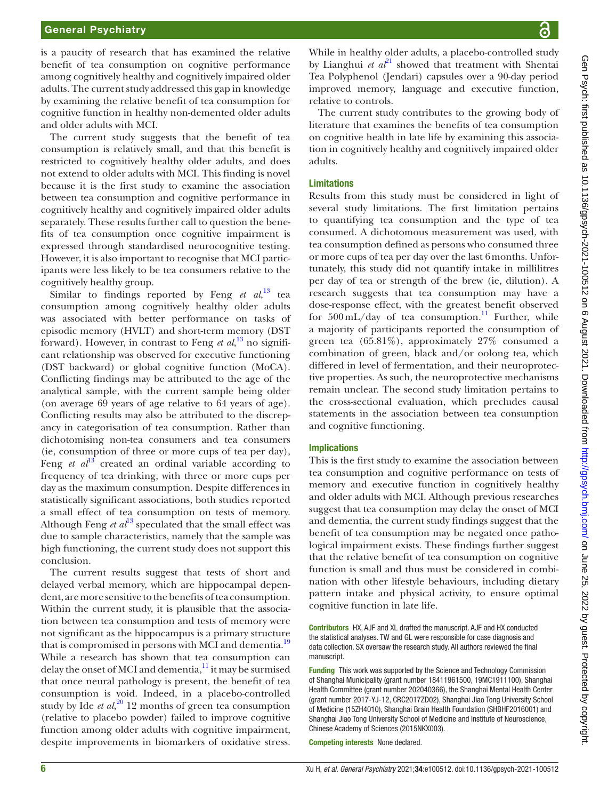#### General Psychiatry

is a paucity of research that has examined the relative benefit of tea consumption on cognitive performance among cognitively healthy and cognitively impaired older adults. The current study addressed this gap in knowledge by examining the relative benefit of tea consumption for cognitive function in healthy non-demented older adults and older adults with MCI.

The current study suggests that the benefit of tea consumption is relatively small, and that this benefit is restricted to cognitively healthy older adults, and does not extend to older adults with MCI. This finding is novel because it is the first study to examine the association between tea consumption and cognitive performance in cognitively healthy and cognitively impaired older adults separately. These results further call to question the benefits of tea consumption once cognitive impairment is expressed through standardised neurocognitive testing. However, it is also important to recognise that MCI participants were less likely to be tea consumers relative to the cognitively healthy group.

Similar to findings reported by Feng *et al*,<sup>[13](#page-6-9)</sup> tea consumption among cognitively healthy older adults was associated with better performance on tasks of episodic memory (HVLT) and short-term memory (DST forward). However, in contrast to Feng *et al*, [13](#page-6-9) no significant relationship was observed for executive functioning (DST backward) or global cognitive function (MoCA). Conflicting findings may be attributed to the age of the analytical sample, with the current sample being older (on average 69 years of age relative to 64 years of age). Conflicting results may also be attributed to the discrepancy in categorisation of tea consumption. Rather than dichotomising non-tea consumers and tea consumers (ie, consumption of three or more cups of tea per day), Feng *et al*<sup>13</sup> created an ordinal variable according to frequency of tea drinking, with three or more cups per day as the maximum consumption. Despite differences in statistically significant associations, both studies reported a small effect of tea consumption on tests of memory. Although Feng  $et \t a<sup>13</sup>$  $et \t a<sup>13</sup>$  $et \t a<sup>13</sup>$  speculated that the small effect was due to sample characteristics, namely that the sample was high functioning, the current study does not support this conclusion.

The current results suggest that tests of short and delayed verbal memory, which are hippocampal dependent, are more sensitive to the benefits of tea consumption. Within the current study, it is plausible that the association between tea consumption and tests of memory were not significant as the hippocampus is a primary structure that is compromised in persons with MCI and dementia.<sup>[19](#page-6-14)</sup> While a research has shown that tea consumption can delay the onset of MCI and dementia, $^{11}$  it may be surmised that once neural pathology is present, the benefit of tea consumption is void. Indeed, in a placebo-controlled study by Ide *et al*, [20](#page-6-15) 12 months of green tea consumption (relative to placebo powder) failed to improve cognitive function among older adults with cognitive impairment, despite improvements in biomarkers of oxidative stress.

While in healthy older adults, a placebo-controlled study by Lianghui *et al*<sup>21</sup> showed that treatment with Shentai Tea Polyphenol (Jendari) capsules over a 90-day period improved memory, language and executive function, relative to controls.

The current study contributes to the growing body of literature that examines the benefits of tea consumption on cognitive health in late life by examining this association in cognitively healthy and cognitively impaired older adults.

#### Limitations

Results from this study must be considered in light of several study limitations. The first limitation pertains to quantifying tea consumption and the type of tea consumed. A dichotomous measurement was used, with tea consumption defined as persons who consumed three or more cups of tea per day over the last 6months. Unfortunately, this study did not quantify intake in millilitres per day of tea or strength of the brew (ie, dilution). A research suggests that tea consumption may have a dose-response effect, with the greatest benefit observed for  $500 \text{ mL/day}$  of tea consumption.<sup>11</sup> Further, while a majority of participants reported the consumption of green tea (65.81%), approximately 27% consumed a combination of green, black and/or oolong tea, which differed in level of fermentation, and their neuroprotective properties. As such, the neuroprotective mechanisms remain unclear. The second study limitation pertains to the cross-sectional evaluation, which precludes causal statements in the association between tea consumption and cognitive functioning.

#### Implications

This is the first study to examine the association between tea consumption and cognitive performance on tests of memory and executive function in cognitively healthy and older adults with MCI. Although previous researches suggest that tea consumption may delay the onset of MCI and dementia, the current study findings suggest that the benefit of tea consumption may be negated once pathological impairment exists. These findings further suggest that the relative benefit of tea consumption on cognitive function is small and thus must be considered in combination with other lifestyle behaviours, including dietary pattern intake and physical activity, to ensure optimal cognitive function in late life.

Contributors HX, AJF and XL drafted the manuscript. AJF and HX conducted the statistical analyses. TW and GL were responsible for case diagnosis and data collection. SX oversaw the research study. All authors reviewed the final manuscript.

Funding This work was supported by the Science and Technology Commission of Shanghai Municipality (grant number 18411961500, 19MC1911100), Shanghai Health Committee (grant number 202040366), the Shanghai Mental Health Center (grant number 2017-YJ-12, CRC2017ZD02), Shanghai Jiao Tong University School of Medicine (15ZH4010), Shanghai Brain Health Foundation (SHBHF2016001) and Shanghai Jiao Tong University School of Medicine and Institute of Neuroscience, Chinese Academy of Sciences (2015NKX003).

Competing interests None declared.